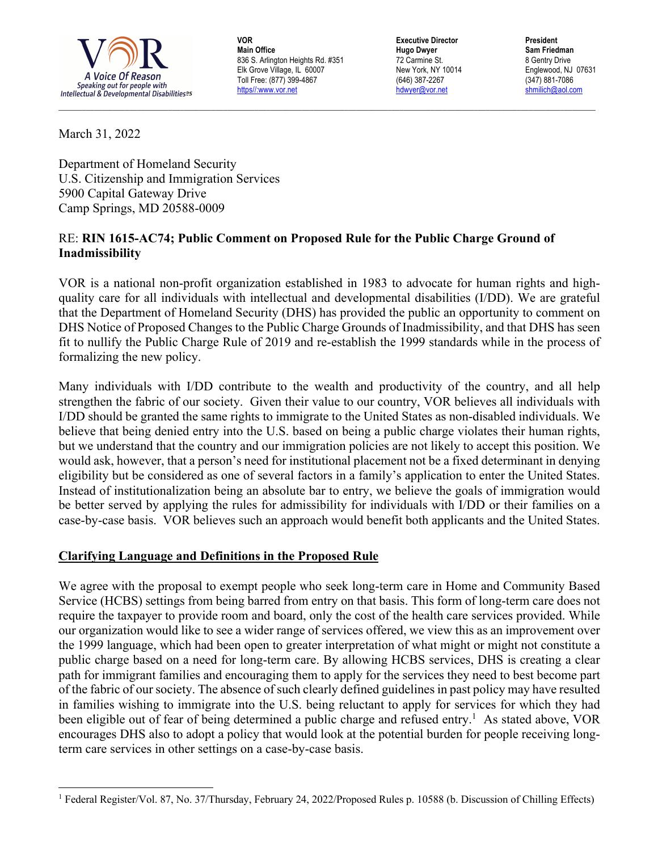

**VOR Main Office** 836 S. Arlington Heights Rd. #351 Elk Grove Village, IL 60007 Toll Free: (877) 399-4867 https//:www.vor.net

**Executive Director Hugo Dwyer** 72 Carmine St. New York, NY 10014 (646) 387-2267 hdwyer@vor.net

**President Sam Friedman** 8 Gentry Drive Englewood, NJ 07631 (347) 881-7086 shmilich@aol.com

March 31, 2022

Department of Homeland Security U.S. Citizenship and Immigration Services 5900 Capital Gateway Drive Camp Springs, MD 20588-0009

## RE: **RIN 1615-AC74; Public Comment on Proposed Rule for the Public Charge Ground of Inadmissibility**

VOR is a national non-profit organization established in 1983 to advocate for human rights and highquality care for all individuals with intellectual and developmental disabilities (I/DD). We are grateful that the Department of Homeland Security (DHS) has provided the public an opportunity to comment on DHS Notice of Proposed Changes to the Public Charge Grounds of Inadmissibility, and that DHS has seen fit to nullify the Public Charge Rule of 2019 and re-establish the 1999 standards while in the process of formalizing the new policy.

\_\_\_\_\_\_\_\_\_\_\_\_\_\_\_\_\_\_\_\_\_\_\_\_\_\_\_\_\_\_\_\_\_\_\_\_\_\_\_\_\_\_\_\_\_\_\_\_\_\_\_\_\_\_\_\_\_\_\_\_\_\_\_\_\_\_\_\_\_\_\_\_\_\_\_\_\_\_\_\_\_\_\_\_\_\_\_\_\_\_\_\_\_\_\_\_\_\_\_\_\_\_\_\_\_\_\_\_\_\_\_\_\_\_\_\_\_\_\_\_\_\_\_\_\_\_\_\_\_\_\_\_\_\_\_\_\_

Many individuals with I/DD contribute to the wealth and productivity of the country, and all help strengthen the fabric of our society. Given their value to our country, VOR believes all individuals with I/DD should be granted the same rights to immigrate to the United States as non-disabled individuals. We believe that being denied entry into the U.S. based on being a public charge violates their human rights, but we understand that the country and our immigration policies are not likely to accept this position. We would ask, however, that a person's need for institutional placement not be a fixed determinant in denying eligibility but be considered as one of several factors in a family's application to enter the United States. Instead of institutionalization being an absolute bar to entry, we believe the goals of immigration would be better served by applying the rules for admissibility for individuals with I/DD or their families on a case-by-case basis. VOR believes such an approach would benefit both applicants and the United States.

## **Clarifying Language and Definitions in the Proposed Rule**

We agree with the proposal to exempt people who seek long-term care in Home and Community Based Service (HCBS) settings from being barred from entry on that basis. This form of long-term care does not require the taxpayer to provide room and board, only the cost of the health care services provided. While our organization would like to see a wider range of services offered, we view this as an improvement over the 1999 language, which had been open to greater interpretation of what might or might not constitute a public charge based on a need for long-term care. By allowing HCBS services, DHS is creating a clear path for immigrant families and encouraging them to apply for the services they need to best become part of the fabric of our society. The absence of such clearly defined guidelines in past policy may have resulted in families wishing to immigrate into the U.S. being reluctant to apply for services for which they had been eligible out of fear of being determined a public charge and refused entry.<sup>1</sup> As stated above, VOR encourages DHS also to adopt a policy that would look at the potential burden for people receiving longterm care services in other settings on a case-by-case basis.

<sup>&</sup>lt;sup>1</sup> Federal Register/Vol. 87, No. 37/Thursday, February 24, 2022/Proposed Rules p. 10588 (b. Discussion of Chilling Effects)